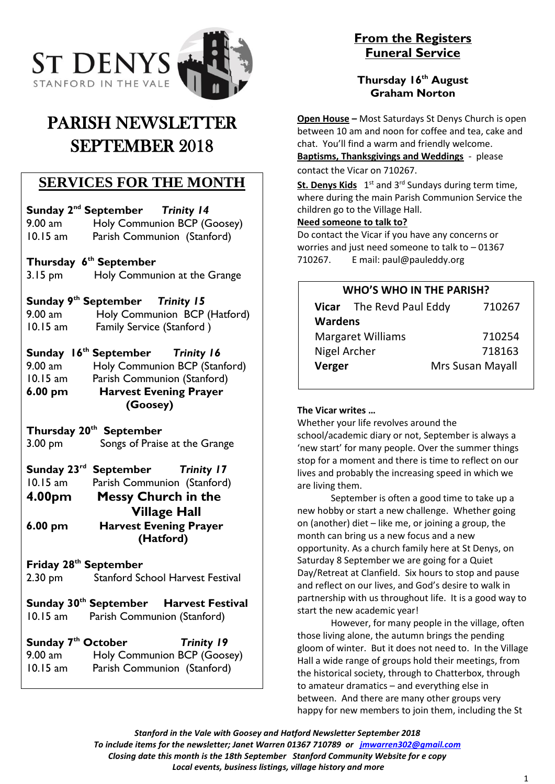

# PARISH NEWSLETTER SEPTEMBER 2018

### **SERVICES FOR THE MONTH**

**Sunday 2 nd September** *Trinity 14*

9.00 am Holy Communion BCP (Goosey) 10.15 am Parish Communion (Stanford)

#### **Thursday 6th September**

3.15 pm Holy Communion at the Grange

#### **Sunday 9th September** *Trinity 15*

9.00 am Holy Communion BCP (Hatford) 10.15 am Family Service (Stanford )

### **Sunday 16th September** *Trinity 16*

9.00 am Holy Communion BCP (Stanford) 10.15 am Parish Communion (Stanford) **6.00 pm Harvest Evening Prayer (Goosey)**

#### **Thursday 20th September**

3.00 pm Songs of Praise at the Grange

## **Sunday 23rd September** *Trinity 17*

10.15 am Parish Communion (Stanford) **4.00pm Messy Church in the Village Hall 6.00 pm Harvest Evening Prayer (Hatford)**

#### **Friday 28th September**

2.30 pm Stanford School Harvest Festival

### **Sunday 30th September Harvest Festival** 10.15 am Parish Communion (Stanford)

**Sunday 7th October** *Trinity 19*  9.00 am Holy Communion BCP (Goosey) 10.15 am Parish Communion (Stanford)

### **From the Registers Funeral Service**

### **Thursday 16th August Graham Norton**

**Open House –** Most Saturdays St Denys Church is open between 10 am and noon for coffee and tea, cake and chat. You'll find a warm and friendly welcome. **Baptisms, Thanksgivings and Weddings** - please contact the Vicar on 710267.

St. Denys Kids 1<sup>st</sup> and 3<sup>rd</sup> Sundays during term time, where during the main Parish Communion Service the children go to the Village Hall.

### **Need someone to talk to?**

Do contact the Vicar if you have any concerns or worries and just need someone to talk to – 01367 710267. E mail: paul@pauleddy.org

### **WHO'S WHO IN THE PARISH?**

|                          | Vicar The Revd Paul Eddy | 710267                  |
|--------------------------|--------------------------|-------------------------|
| <b>Wardens</b>           |                          |                         |
| <b>Margaret Williams</b> |                          | 710254                  |
| Nigel Archer             |                          | 718163                  |
| Verger                   |                          | <b>Mrs Susan Mayall</b> |
|                          |                          |                         |

#### **The Vicar writes …**

Whether your life revolves around the school/academic diary or not, September is always a 'new start' for many people. Over the summer things stop for a moment and there is time to reflect on our lives and probably the increasing speed in which we are living them.

September is often a good time to take up a new hobby or start a new challenge. Whether going on (another) diet – like me, or joining a group, the month can bring us a new focus and a new opportunity. As a church family here at St Denys, on Saturday 8 September we are going for a Quiet Day/Retreat at Clanfield. Six hours to stop and pause and reflect on our lives, and God's desire to walk in partnership with us throughout life. It is a good way to start the new academic year!

However, for many people in the village, often those living alone, the autumn brings the pending gloom of winter. But it does not need to. In the Village Hall a wide range of groups hold their meetings, from the historical society, through to Chatterbox, through to amateur dramatics – and everything else in between. And there are many other groups very happy for new members to join them, including the St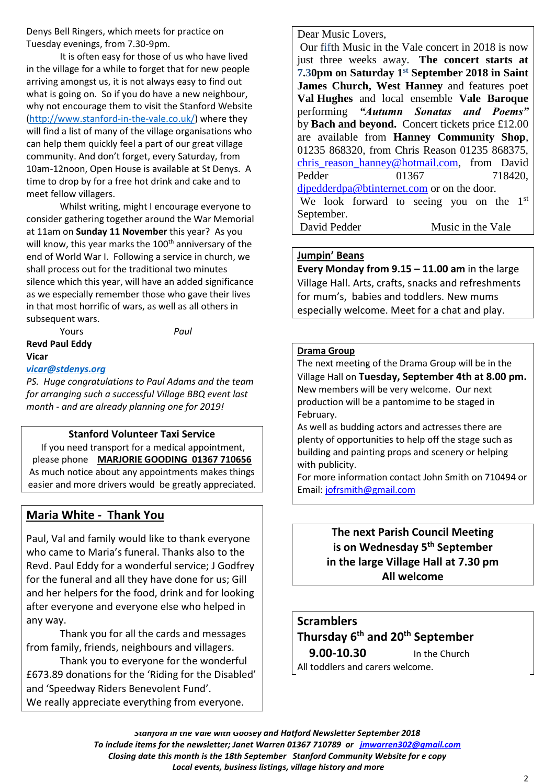Denys Bell Ringers, which meets for practice on Tuesday evenings, from 7.30-9pm.

It is often easy for those of us who have lived in the village for a while to forget that for new people arriving amongst us, it is not always easy to find out what is going on. So if you do have a new neighbour, why not encourage them to visit the Stanford Website [\(http://www.stanford-in-the-vale.co.uk/\)](http://www.stanford-in-the-vale.co.uk/) where they will find a list of many of the village organisations who can help them quickly feel a part of our great village community. And don't forget, every Saturday, from 10am-12noon, Open House is available at St Denys. A time to drop by for a free hot drink and cake and to meet fellow villagers.

Whilst writing, might I encourage everyone to consider gathering together around the War Memorial at 11am on **Sunday 11 November** this year? As you will know, this year marks the  $100<sup>th</sup>$  anniversary of the end of World War I. Following a service in church, we shall process out for the traditional two minutes silence which this year, will have an added significance as we especially remember those who gave their lives in that most horrific of wars, as well as all others in subsequent wars.

Yours *Paul* **Revd Paul Eddy Vicar**

#### *[vicar@stdenys.org](mailto:vicar@stdenys.org)*

*PS. Huge congratulations to Paul Adams and the team for arranging such a successful Village BBQ event last month - and are already planning one for 2019!*

#### **Stanford Volunteer Taxi Service**

If you need transport for a medical appointment, please phone **MARJORIE GOODING 01367 710656** As much notice about any appointments makes things easier and more drivers would be greatly appreciated.

#### **Maria White - Thank You**

Paul, Val and family would like to thank everyone who came to Maria's funeral. Thanks also to the Revd. Paul Eddy for a wonderful service; J Godfrey for the funeral and all they have done for us; Gill and her helpers for the food, drink and for looking after everyone and everyone else who helped in any way.

Thank you for all the cards and messages from family, friends, neighbours and villagers.

Thank you to everyone for the wonderful £673.89 donations for the 'Riding for the Disabled' and 'Speedway Riders Benevolent Fund'. We really appreciate everything from everyone.

Dear Music Lovers,

Our fifth Music in the Vale concert in 2018 is now just three weeks away. **The concert starts at 7.30pm on Saturday 1st September 2018 in Saint James Church, West Hanney** and features poet **Val Hughes** and local ensemble **Vale Baroque** performing *"Autumn Sonatas and Poems"* by **Bach and beyond.** Concert tickets price £12.00 are available from **Hanney Community Shop**, 01235 868320, from Chris Reason 01235 868375, [chris\\_reason\\_hanney@hotmail.com,](mailto:chris_reason_hanney@hotmail.com) from David Pedder 01367 718420. [djpedderdpa@btinternet.com](mailto:djpedderdpa@btinternet.com) or on the door. We look forward to seeing you on the 1<sup>st</sup> September.

David Pedder Music in the Vale

# **Jumpin' Beans**

**Every Monday from 9.15 – 11.00 am** in the large Village Hall. Arts, crafts, snacks and refreshments for mum's, babies and toddlers. New mums especially welcome. Meet for a chat and play.

#### **Drama Group**

The next meeting of the Drama Group will be in the Village Hall on **Tuesday, September 4th at 8.00 pm.** New members will be very welcome. Our next production will be a pantomime to be staged in February.

As well as budding actors and actresses there are plenty of opportunities to help off the stage such as building and painting props and scenery or helping with publicity.

For more information contact John Smith on 710494 or Email: [jofrsmith@gmail.com](mailto:jofrsmith@gmail.com)

> **The next Parish Council Meeting is on Wednesday 5th September in the large Village Hall at 7.30 pm All welcome**

## **Scramblers**

**Thursday 6 th and 20th September**

 **9.00-10.30** In the Church All toddlers and carers welcome.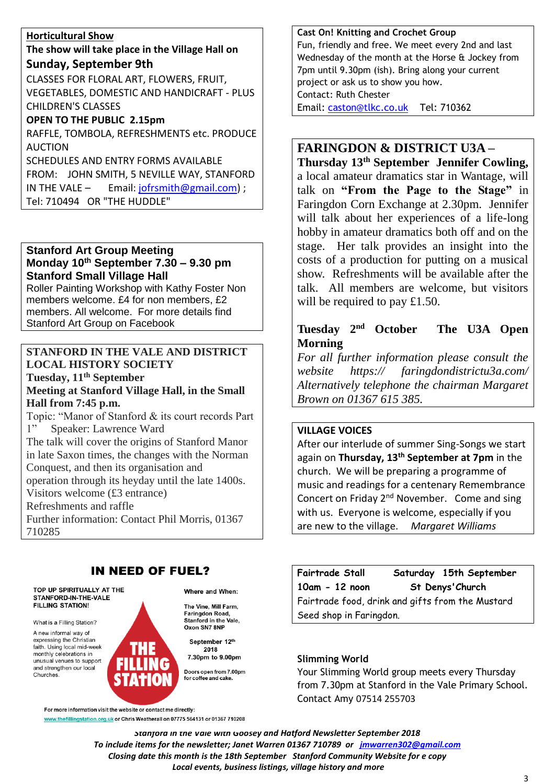#### **Horticultural Show**

#### **The show will take place in the Village Hall on Sunday, September 9th**

CLASSES FOR FLORAL ART, FLOWERS, FRUIT, VEGETABLES, DOMESTIC AND HANDICRAFT - PLUS CHILDREN'S CLASSES

#### **OPEN TO THE PUBLIC 2.15pm**

RAFFLE, TOMBOLA, REFRESHMENTS etc. PRODUCE AUCTION SCHEDULES AND ENTRY FORMS AVAILABLE

FROM: JOHN SMITH, 5 NEVILLE WAY, STANFORD IN THE VALE  $-$  Email: [jofrsmith@gmail.com\)](mailto:jofrsmith@gmail.com) ;

Tel: 710494 OR "THE HUDDLE"

#### **Stanford Art Group Meeting Monday 10th September 7.30 – 9.30 pm Stanford Small Village Hall**

Roller Painting Workshop with Kathy Foster Non members welcome. £4 for non members, £2 members. All welcome. For more details find Stanford Art Group on Facebook

### **STANFORD IN THE VALE AND DISTRICT LOCAL HISTORY SOCIETY**

**Tuesday, 11th September Meeting at Stanford Village Hall, in the Small Hall from 7:45 p.m.** Topic: "Manor of Stanford & its court records Part

1" Speaker: Lawrence Ward The talk will cover the origins of Stanford Manor in late Saxon times, the changes with the Norman Conquest, and then its organisation and operation through its heyday until the late 1400s. Visitors welcome (£3 entrance) Refreshments and raffle Further information: Contact Phil Morris, 01367 710285

### **IN NEED OF FUEL?**

For more information visit the website or contact me directly:

www.thefillingstation.org.uk or Chris Weatherall on 07775 564131 or 01367 710208

#### TOP UP SPIRITUALLY AT THE **STANFORD-IN-THE-VALE FILLING STATION!**

What is a Filling Station?

A new informal way of expressing the Christian faith. Using local mid-week monthly celebrations in unusual venues to support and strengthen our local Churches.



The Vine, Mill Farm, Faringdon Road, Stanford in the Vale. Oxon SN7 8NF

September 12th 2018 7.30pm to 9.00pm

Doors open from 7.00pm for coffee and cake.

**Cast On! Knitting and Crochet Group** Fun, friendly and free. We meet every 2nd and last Wednesday of the month at the Horse & Jockey from 7pm until 9.30pm (ish). Bring along your current project or ask us to show you how. Contact: Ruth Chester Email: [caston@tlkc.co.uk](mailto:caston@tlkc.co.uk) Tel: 710362

### **FARINGDON & DISTRICT U3A –**

**Thursday 13th September Jennifer Cowling,**  a local amateur dramatics star in Wantage, will talk on **"From the Page to the Stage"** in Faringdon Corn Exchange at 2.30pm. Jennifer will talk about her experiences of a life-long hobby in amateur dramatics both off and on the stage. Her talk provides an insight into the costs of a production for putting on a musical show. Refreshments will be available after the talk. All members are welcome, but visitors will be required to pay £1.50.

### **Tuesday 2nd October The U3A Open Morning**

*For all further information please consult the website https:// faringdondistrictu3a.com/ Alternatively telephone the chairman Margaret Brown on 01367 615 385.*

### **VILLAGE VOICES**

After our interlude of summer Sing-Songs we start again on **Thursday, 13th September at 7pm** in the church. We will be preparing a programme of music and readings for a centenary Remembrance Concert on Friday 2<sup>nd</sup> November. Come and sing with us. Everyone is welcome, especially if you are new to the village. *Margaret Williams*

**Fairtrade Stall Saturday 15th September 10am - 12 noon St Denys'Church** Fairtrade food, drink and gifts from the Mustard Seed shop in Faringdon.

#### **Slimming World**

Your Slimming World group meets every Thursday from 7.30pm at Stanford in the Vale Primary School. Contact Amy 07514 255703